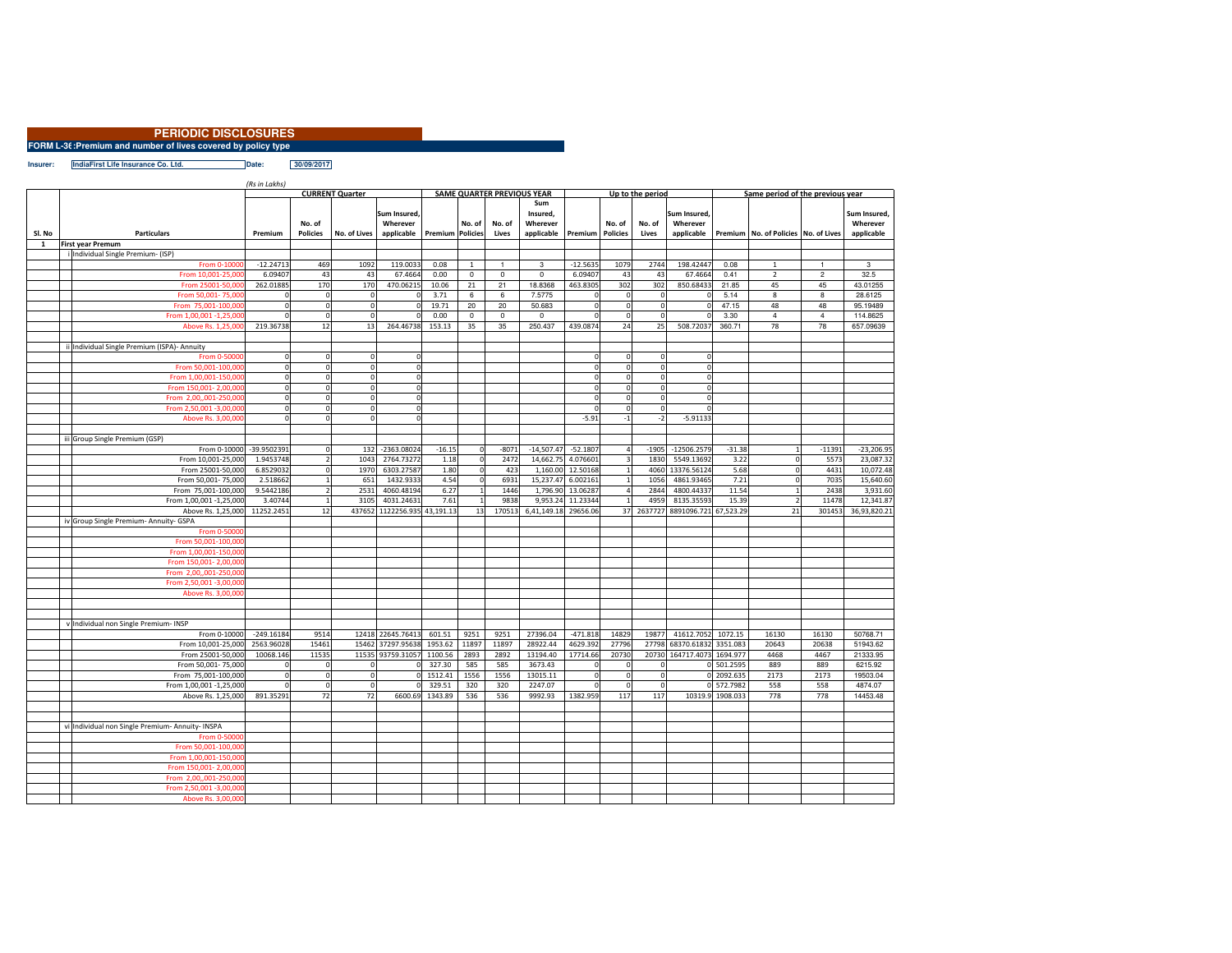|                                                              | <b>PERIODIC DISCLOSURES</b> |  |  |  |  |  |
|--------------------------------------------------------------|-----------------------------|--|--|--|--|--|
| 2M L-3f : Promium and number of lives covered by nolicy type |                             |  |  |  |  |  |

**FORM L-36:Premium and number of lives covered by policy type**

**Insurer: IndiaFirst Life Insurance Co. Ltd. Date: 30/09/2017**

| <b>CURRENT Quarter</b><br><b>SAME QUARTER PREVIOUS YEAR</b><br>Up to the period<br>Same period of the previous year<br>Sum<br>Sum Insured.<br>Insured.<br>Sum Insured.<br>Sum Insured.<br>Wherever<br>No. of<br>Wherever<br>No. of<br>No. of<br>Wherever<br>No. of<br>No. of<br>Wherever<br>Sl. No<br><b>Particulars</b><br>Premium<br><b>Policies</b><br>No. of Lives<br>applicable<br><b>Premium Policies</b><br><b>Policies</b><br>applicable<br>Premium   No. of Policies   No. of Lives<br>applicable<br>Lives<br>applicable<br>Premium<br>Lives<br>1<br><b>First year Premum</b><br>i Individual Single Premium- (ISP)<br>$-12.24713$<br>469<br>1092<br>119.0033<br>0.08<br>$\mathbf{3}$<br>$-12.5635$<br>1079<br>2744<br>198.42447<br>0.08<br>From 0-1000<br>$\mathbf{1}$<br>$\mathbf{1}$<br>$\mathbf{1}$<br>1<br>3<br>From 10,001-25,00<br>6.09407<br>43<br>43<br>67.4664<br>0.00<br>$\mathbf 0$<br>$\mathbf 0$<br>6.09407<br>43<br>67.4664<br>0.41<br>$\overline{2}$<br>$\overline{c}$<br>32.5<br>$\mathbf{0}$<br>43<br>170<br>170<br>18.8368<br>302<br>850.68433<br>262.01885<br>470.06215<br>10.06<br>21<br>21<br>463.8305<br>302<br>21.85<br>45<br>45<br>43.01255<br>From 25001-50,000<br>3.71<br>6<br>7.5775<br>5.14<br>8<br>8<br>From 50,001-75,000<br>$\Omega$<br>$\mathbf 0$<br>6<br>$\mathbf 0$<br>$\mathbf 0$<br>28.6125<br>$\mathbf{0}$<br>48<br>48<br>$\mathbf{0}$<br>19.71<br>20<br>20<br>50.683<br>$\mathbf 0$<br>$\circ$<br>47.15<br>95.19489<br>From 75,001-100,000<br>$^{\circ}$<br>$\mathbf 0$<br>$\mathbf{0}$<br>$\mathbf{0}$<br>From 1,00,001 -1,25,00<br>$\Omega$<br>$\Omega$<br>0.00<br>$\mathbf 0$<br>$\mathbf 0$<br>$\Omega$<br>3.30<br>$\overline{4}$<br>$\sqrt{4}$<br>114.8625<br>$\mathbf 0$<br>0<br>$\Omega$<br>13<br>35<br>78<br>78<br>Above Rs. 1,25,000<br>219.36738<br>12<br>264.46738<br>153.13<br>35<br>250.437<br>439.0874<br>24<br>25<br>508.72037<br>360.71<br>657.09639<br>ii Individual Single Premium (ISPA)- Annuity<br>From 0-50000<br>$\circ$<br>$\mathbf{0}$<br>$\mathbf 0$<br>$\mathbf{0}$<br>$\mathbf 0$<br><sub>0</sub><br>$\mathbf 0$<br>$\Omega$<br>From 50,001-100,00<br>$\mathbf{0}$<br>$\Omega$<br>$\mathbf 0$<br>$\mathbf 0$<br>$\mathbf 0$<br>$\mathbf 0$<br>From 1,00,001-150,00<br>$\circ$<br>$\mathbf{0}$<br>$\mathbf 0$<br>$\mathbf 0$<br>$\mathbf 0$<br><sub>0</sub><br>$\overline{0}$<br>$\Omega$<br>$\mathbf 0$<br>From 150,001-2,00,00<br>$\Omega$<br>$\mathbf 0$<br>$\mathbf{0}$<br>$\Omega$<br>$\mathbf 0$<br>$\mathbf 0$<br>From 2,00,,001-250,00<br>$\circ$<br>$\Omega$<br>$\mathbf 0$<br>$\mathbf 0$<br>$\Omega$<br>$\Omega$<br>$\Omega$<br>$\circ$<br>From 2,50,001 -3,00,00<br>$\Omega$<br>$\mathbf 0$<br>$\Omega$<br>$\Omega$<br>$-5.91$<br>$-5.91133$<br>Above Rs. 3,00,000<br>$\mathbf 0$<br>$\Omega$<br>$\mathbf 0$<br>$-2$<br>$-1$<br>iii Group Single Premium (GSP)<br>-39.9502391<br>132<br>$-2363.08024$<br>$-16.15$<br>$-8071$<br>$-14.507.47$<br>$-52.1807$<br>$-1905$<br>$-12506.2579$<br>$-31.38$<br>$-11391$<br>$-23,206.95$<br>From 0-10000<br>$\Omega$<br>$\mathbf 0$<br>$\overline{4}$<br>$\mathbf{1}$<br>2764.73272<br>From 10,001-25,000<br>1.9453748<br>1043<br>1.18<br>$\mathbf 0$<br>2472<br>14.662.75<br>4.076601<br>$\overline{\mathbf{3}}$<br>1830<br>5549.13692<br>3.22<br>$\mathbf{0}$<br>5573<br>23,087.32<br>6.8529032<br>1970<br>6303.27587<br>1,160.00<br>12.50168<br>From 25001-50,000<br>1.80<br>$\mathbf 0$<br>423<br>$\mathbf{1}$<br>4060<br>13376.56124<br>5.68<br>$\mathbf 0$<br>4431<br>10,072.48<br>$\Omega$<br>$\mathbf 0$<br>2.518662<br>651<br>4.54<br>6931<br>15,237.47<br>6.002161<br>7.21<br>7035<br>15,640.60<br>From 50,001-75,000<br>1432.9333<br>$\mathbf 1$<br>1056<br>4861.93465<br>$\mathbf 0$<br>9.5442186<br>2531<br>4060.48194<br>6.27<br>1446<br>1,796.90 13.06287<br>2844<br>4800.44337<br>11.54<br>2438<br>3,931.60<br>From 75,001-100,000<br>$\,1\,$<br>$\mathbf{1}$<br>$\mathcal{P}$<br>4<br>3.40744<br>$\mathbf{1}$<br>$\overline{2}$<br>12,341.87<br>From 1,00,001 -1,25,000<br>3105<br>4031.24631<br>7.61<br>9838<br>9,953.24<br>11.23344<br>$\mathbf{1}$<br>4959<br>8135.35593<br>15.39<br>11478<br>Above Rs. 1,25,000<br>11252.2451<br>437652 1122256.935 43,191.13<br>6,41,149.18 29656.06<br>21<br>36,93,820.21<br>12<br>13<br>170513<br>37<br>2637727<br>8891096.721 67,523.29<br>301453<br>iv Group Single Premium- Annuity- GSPA<br>From 0-50000<br>From 50,001-100,00<br>From 1,00,001-150,00<br>From 150,001-2,00,00<br>From 2,00,,001-250,00<br>From 2,50,001 -3,00,00<br>Above Rs. 3,00,000<br>v Individual non Single Premium- INSP<br>$-249.16184$<br>9514<br>12418 22645.76413<br>9251<br>9251<br>27396.04<br>$-471.818$<br>14829<br>41612.7052<br>1072.15<br>16130<br>16130<br>From 0-10000<br>601.51<br>19877<br>50768.71<br>From 10,001-25,000<br>2563.96028<br>15461<br>15462 37297.95638<br>1953.62<br>11897<br>11897<br>28922.44<br>4629.392<br>27796<br>27798 68370.61832 3351.083<br>20643<br>20638<br>51943.62<br>11535 93759.31057<br>17714.66<br>20730<br>20730 164717.4073 1694.977<br>4468<br>From 25001-50,000<br>10068.146<br>11535<br>1100.56<br>2893<br>2892<br>13194.40<br>4467<br>21333.95<br>327.30<br>585<br>3673.43<br>0 501.2595<br>889<br>889<br>From 50,001-75,000<br>585<br>6215.92<br>$\Omega$<br>$\Omega$<br>$\mathbf 0$<br>$\mathbf 0$<br>$\Omega$<br>1556<br>0 2092.635<br>2173<br>2173<br>19503.04<br>From 75,001-100,000<br>$\mathbf 0$<br>1512.41<br>1556<br>13015.11<br>$\mathbf 0$<br>$\mathbf 0$<br>$\circ$<br>$\Omega$<br>$\mathbf{0}$<br>$^{\circ}$<br>558<br>From 1,00,001 -1,25,000<br>$\Omega$<br>329.51<br>320<br>320<br>2247.07<br>$\mathbf 0$<br>$\Omega$<br>0 572.7982<br>558<br>4874.07<br>$\Omega$<br>$\Omega$<br>$\mathbf 0$<br>Above Rs. 1,25,000<br>891.35291<br>72<br>72<br>6600.69<br>1343.89<br>536<br>536<br>9992.93<br>1382.959<br>117<br>117<br>10319.9 1908.033<br>778<br>778<br>14453.48<br>vi Individual non Single Premium- Annuity- INSPA<br>From 0-50000<br>From 50,001-100,000<br>From 1,00,001-150,00<br>From 150,001-2,00,00<br>From 2,00,,001-250,00<br>From 2,50,001 -3,00,00 |                    | (Rs in Lakhs) |  |  |  |  |  |  |  |  |  |  |  |  |
|-----------------------------------------------------------------------------------------------------------------------------------------------------------------------------------------------------------------------------------------------------------------------------------------------------------------------------------------------------------------------------------------------------------------------------------------------------------------------------------------------------------------------------------------------------------------------------------------------------------------------------------------------------------------------------------------------------------------------------------------------------------------------------------------------------------------------------------------------------------------------------------------------------------------------------------------------------------------------------------------------------------------------------------------------------------------------------------------------------------------------------------------------------------------------------------------------------------------------------------------------------------------------------------------------------------------------------------------------------------------------------------------------------------------------------------------------------------------------------------------------------------------------------------------------------------------------------------------------------------------------------------------------------------------------------------------------------------------------------------------------------------------------------------------------------------------------------------------------------------------------------------------------------------------------------------------------------------------------------------------------------------------------------------------------------------------------------------------------------------------------------------------------------------------------------------------------------------------------------------------------------------------------------------------------------------------------------------------------------------------------------------------------------------------------------------------------------------------------------------------------------------------------------------------------------------------------------------------------------------------------------------------------------------------------------------------------------------------------------------------------------------------------------------------------------------------------------------------------------------------------------------------------------------------------------------------------------------------------------------------------------------------------------------------------------------------------------------------------------------------------------------------------------------------------------------------------------------------------------------------------------------------------------------------------------------------------------------------------------------------------------------------------------------------------------------------------------------------------------------------------------------------------------------------------------------------------------------------------------------------------------------------------------------------------------------------------------------------------------------------------------------------------------------------------------------------------------------------------------------------------------------------------------------------------------------------------------------------------------------------------------------------------------------------------------------------------------------------------------------------------------------------------------------------------------------------------------------------------------------------------------------------------------------------------------------------------------------------------------------------------------------------------------------------------------------------------------------------------------------------------------------------------------------------------------------------------------------------------------------------------------------------------------------------------------------------------------------------------------------------------------------------------------------------------------------------------------------------------------------------------------------------------------------------------------------------------------------------------------------------------------------------------------------------------------------------------------------------------------------------------------------------------------------------------------------------------------------------------------------------------------------------------------------------------------------------------------------------------------------------------------------------------------------------------------------------------------------------------------------------------------------------------------------------------------------------------------------------------------------------------------------------------------------------------------------------------------------------------------------------------------------------------------------------------------------------------------------------------------------------------------------------------------------------------------------------------------------------------------------------------------------------------------------------------------------------------------------------------------------|--------------------|---------------|--|--|--|--|--|--|--|--|--|--|--|--|
|                                                                                                                                                                                                                                                                                                                                                                                                                                                                                                                                                                                                                                                                                                                                                                                                                                                                                                                                                                                                                                                                                                                                                                                                                                                                                                                                                                                                                                                                                                                                                                                                                                                                                                                                                                                                                                                                                                                                                                                                                                                                                                                                                                                                                                                                                                                                                                                                                                                                                                                                                                                                                                                                                                                                                                                                                                                                                                                                                                                                                                                                                                                                                                                                                                                                                                                                                                                                                                                                                                                                                                                                                                                                                                                                                                                                                                                                                                                                                                                                                                                                                                                                                                                                                                                                                                                                                                                                                                                                                                                                                                                                                                                                                                                                                                                                                                                                                                                                                                                                                                                                                                                                                                                                                                                                                                                                                                                                                                                                                                                                                                                                                                                                                                                                                                                                                                                                                                                                                                                                                                                                                                           |                    |               |  |  |  |  |  |  |  |  |  |  |  |  |
|                                                                                                                                                                                                                                                                                                                                                                                                                                                                                                                                                                                                                                                                                                                                                                                                                                                                                                                                                                                                                                                                                                                                                                                                                                                                                                                                                                                                                                                                                                                                                                                                                                                                                                                                                                                                                                                                                                                                                                                                                                                                                                                                                                                                                                                                                                                                                                                                                                                                                                                                                                                                                                                                                                                                                                                                                                                                                                                                                                                                                                                                                                                                                                                                                                                                                                                                                                                                                                                                                                                                                                                                                                                                                                                                                                                                                                                                                                                                                                                                                                                                                                                                                                                                                                                                                                                                                                                                                                                                                                                                                                                                                                                                                                                                                                                                                                                                                                                                                                                                                                                                                                                                                                                                                                                                                                                                                                                                                                                                                                                                                                                                                                                                                                                                                                                                                                                                                                                                                                                                                                                                                                           |                    |               |  |  |  |  |  |  |  |  |  |  |  |  |
|                                                                                                                                                                                                                                                                                                                                                                                                                                                                                                                                                                                                                                                                                                                                                                                                                                                                                                                                                                                                                                                                                                                                                                                                                                                                                                                                                                                                                                                                                                                                                                                                                                                                                                                                                                                                                                                                                                                                                                                                                                                                                                                                                                                                                                                                                                                                                                                                                                                                                                                                                                                                                                                                                                                                                                                                                                                                                                                                                                                                                                                                                                                                                                                                                                                                                                                                                                                                                                                                                                                                                                                                                                                                                                                                                                                                                                                                                                                                                                                                                                                                                                                                                                                                                                                                                                                                                                                                                                                                                                                                                                                                                                                                                                                                                                                                                                                                                                                                                                                                                                                                                                                                                                                                                                                                                                                                                                                                                                                                                                                                                                                                                                                                                                                                                                                                                                                                                                                                                                                                                                                                                                           |                    |               |  |  |  |  |  |  |  |  |  |  |  |  |
|                                                                                                                                                                                                                                                                                                                                                                                                                                                                                                                                                                                                                                                                                                                                                                                                                                                                                                                                                                                                                                                                                                                                                                                                                                                                                                                                                                                                                                                                                                                                                                                                                                                                                                                                                                                                                                                                                                                                                                                                                                                                                                                                                                                                                                                                                                                                                                                                                                                                                                                                                                                                                                                                                                                                                                                                                                                                                                                                                                                                                                                                                                                                                                                                                                                                                                                                                                                                                                                                                                                                                                                                                                                                                                                                                                                                                                                                                                                                                                                                                                                                                                                                                                                                                                                                                                                                                                                                                                                                                                                                                                                                                                                                                                                                                                                                                                                                                                                                                                                                                                                                                                                                                                                                                                                                                                                                                                                                                                                                                                                                                                                                                                                                                                                                                                                                                                                                                                                                                                                                                                                                                                           |                    |               |  |  |  |  |  |  |  |  |  |  |  |  |
|                                                                                                                                                                                                                                                                                                                                                                                                                                                                                                                                                                                                                                                                                                                                                                                                                                                                                                                                                                                                                                                                                                                                                                                                                                                                                                                                                                                                                                                                                                                                                                                                                                                                                                                                                                                                                                                                                                                                                                                                                                                                                                                                                                                                                                                                                                                                                                                                                                                                                                                                                                                                                                                                                                                                                                                                                                                                                                                                                                                                                                                                                                                                                                                                                                                                                                                                                                                                                                                                                                                                                                                                                                                                                                                                                                                                                                                                                                                                                                                                                                                                                                                                                                                                                                                                                                                                                                                                                                                                                                                                                                                                                                                                                                                                                                                                                                                                                                                                                                                                                                                                                                                                                                                                                                                                                                                                                                                                                                                                                                                                                                                                                                                                                                                                                                                                                                                                                                                                                                                                                                                                                                           |                    |               |  |  |  |  |  |  |  |  |  |  |  |  |
|                                                                                                                                                                                                                                                                                                                                                                                                                                                                                                                                                                                                                                                                                                                                                                                                                                                                                                                                                                                                                                                                                                                                                                                                                                                                                                                                                                                                                                                                                                                                                                                                                                                                                                                                                                                                                                                                                                                                                                                                                                                                                                                                                                                                                                                                                                                                                                                                                                                                                                                                                                                                                                                                                                                                                                                                                                                                                                                                                                                                                                                                                                                                                                                                                                                                                                                                                                                                                                                                                                                                                                                                                                                                                                                                                                                                                                                                                                                                                                                                                                                                                                                                                                                                                                                                                                                                                                                                                                                                                                                                                                                                                                                                                                                                                                                                                                                                                                                                                                                                                                                                                                                                                                                                                                                                                                                                                                                                                                                                                                                                                                                                                                                                                                                                                                                                                                                                                                                                                                                                                                                                                                           |                    |               |  |  |  |  |  |  |  |  |  |  |  |  |
|                                                                                                                                                                                                                                                                                                                                                                                                                                                                                                                                                                                                                                                                                                                                                                                                                                                                                                                                                                                                                                                                                                                                                                                                                                                                                                                                                                                                                                                                                                                                                                                                                                                                                                                                                                                                                                                                                                                                                                                                                                                                                                                                                                                                                                                                                                                                                                                                                                                                                                                                                                                                                                                                                                                                                                                                                                                                                                                                                                                                                                                                                                                                                                                                                                                                                                                                                                                                                                                                                                                                                                                                                                                                                                                                                                                                                                                                                                                                                                                                                                                                                                                                                                                                                                                                                                                                                                                                                                                                                                                                                                                                                                                                                                                                                                                                                                                                                                                                                                                                                                                                                                                                                                                                                                                                                                                                                                                                                                                                                                                                                                                                                                                                                                                                                                                                                                                                                                                                                                                                                                                                                                           |                    |               |  |  |  |  |  |  |  |  |  |  |  |  |
|                                                                                                                                                                                                                                                                                                                                                                                                                                                                                                                                                                                                                                                                                                                                                                                                                                                                                                                                                                                                                                                                                                                                                                                                                                                                                                                                                                                                                                                                                                                                                                                                                                                                                                                                                                                                                                                                                                                                                                                                                                                                                                                                                                                                                                                                                                                                                                                                                                                                                                                                                                                                                                                                                                                                                                                                                                                                                                                                                                                                                                                                                                                                                                                                                                                                                                                                                                                                                                                                                                                                                                                                                                                                                                                                                                                                                                                                                                                                                                                                                                                                                                                                                                                                                                                                                                                                                                                                                                                                                                                                                                                                                                                                                                                                                                                                                                                                                                                                                                                                                                                                                                                                                                                                                                                                                                                                                                                                                                                                                                                                                                                                                                                                                                                                                                                                                                                                                                                                                                                                                                                                                                           |                    |               |  |  |  |  |  |  |  |  |  |  |  |  |
|                                                                                                                                                                                                                                                                                                                                                                                                                                                                                                                                                                                                                                                                                                                                                                                                                                                                                                                                                                                                                                                                                                                                                                                                                                                                                                                                                                                                                                                                                                                                                                                                                                                                                                                                                                                                                                                                                                                                                                                                                                                                                                                                                                                                                                                                                                                                                                                                                                                                                                                                                                                                                                                                                                                                                                                                                                                                                                                                                                                                                                                                                                                                                                                                                                                                                                                                                                                                                                                                                                                                                                                                                                                                                                                                                                                                                                                                                                                                                                                                                                                                                                                                                                                                                                                                                                                                                                                                                                                                                                                                                                                                                                                                                                                                                                                                                                                                                                                                                                                                                                                                                                                                                                                                                                                                                                                                                                                                                                                                                                                                                                                                                                                                                                                                                                                                                                                                                                                                                                                                                                                                                                           |                    |               |  |  |  |  |  |  |  |  |  |  |  |  |
|                                                                                                                                                                                                                                                                                                                                                                                                                                                                                                                                                                                                                                                                                                                                                                                                                                                                                                                                                                                                                                                                                                                                                                                                                                                                                                                                                                                                                                                                                                                                                                                                                                                                                                                                                                                                                                                                                                                                                                                                                                                                                                                                                                                                                                                                                                                                                                                                                                                                                                                                                                                                                                                                                                                                                                                                                                                                                                                                                                                                                                                                                                                                                                                                                                                                                                                                                                                                                                                                                                                                                                                                                                                                                                                                                                                                                                                                                                                                                                                                                                                                                                                                                                                                                                                                                                                                                                                                                                                                                                                                                                                                                                                                                                                                                                                                                                                                                                                                                                                                                                                                                                                                                                                                                                                                                                                                                                                                                                                                                                                                                                                                                                                                                                                                                                                                                                                                                                                                                                                                                                                                                                           |                    |               |  |  |  |  |  |  |  |  |  |  |  |  |
|                                                                                                                                                                                                                                                                                                                                                                                                                                                                                                                                                                                                                                                                                                                                                                                                                                                                                                                                                                                                                                                                                                                                                                                                                                                                                                                                                                                                                                                                                                                                                                                                                                                                                                                                                                                                                                                                                                                                                                                                                                                                                                                                                                                                                                                                                                                                                                                                                                                                                                                                                                                                                                                                                                                                                                                                                                                                                                                                                                                                                                                                                                                                                                                                                                                                                                                                                                                                                                                                                                                                                                                                                                                                                                                                                                                                                                                                                                                                                                                                                                                                                                                                                                                                                                                                                                                                                                                                                                                                                                                                                                                                                                                                                                                                                                                                                                                                                                                                                                                                                                                                                                                                                                                                                                                                                                                                                                                                                                                                                                                                                                                                                                                                                                                                                                                                                                                                                                                                                                                                                                                                                                           |                    |               |  |  |  |  |  |  |  |  |  |  |  |  |
|                                                                                                                                                                                                                                                                                                                                                                                                                                                                                                                                                                                                                                                                                                                                                                                                                                                                                                                                                                                                                                                                                                                                                                                                                                                                                                                                                                                                                                                                                                                                                                                                                                                                                                                                                                                                                                                                                                                                                                                                                                                                                                                                                                                                                                                                                                                                                                                                                                                                                                                                                                                                                                                                                                                                                                                                                                                                                                                                                                                                                                                                                                                                                                                                                                                                                                                                                                                                                                                                                                                                                                                                                                                                                                                                                                                                                                                                                                                                                                                                                                                                                                                                                                                                                                                                                                                                                                                                                                                                                                                                                                                                                                                                                                                                                                                                                                                                                                                                                                                                                                                                                                                                                                                                                                                                                                                                                                                                                                                                                                                                                                                                                                                                                                                                                                                                                                                                                                                                                                                                                                                                                                           |                    |               |  |  |  |  |  |  |  |  |  |  |  |  |
|                                                                                                                                                                                                                                                                                                                                                                                                                                                                                                                                                                                                                                                                                                                                                                                                                                                                                                                                                                                                                                                                                                                                                                                                                                                                                                                                                                                                                                                                                                                                                                                                                                                                                                                                                                                                                                                                                                                                                                                                                                                                                                                                                                                                                                                                                                                                                                                                                                                                                                                                                                                                                                                                                                                                                                                                                                                                                                                                                                                                                                                                                                                                                                                                                                                                                                                                                                                                                                                                                                                                                                                                                                                                                                                                                                                                                                                                                                                                                                                                                                                                                                                                                                                                                                                                                                                                                                                                                                                                                                                                                                                                                                                                                                                                                                                                                                                                                                                                                                                                                                                                                                                                                                                                                                                                                                                                                                                                                                                                                                                                                                                                                                                                                                                                                                                                                                                                                                                                                                                                                                                                                                           |                    |               |  |  |  |  |  |  |  |  |  |  |  |  |
|                                                                                                                                                                                                                                                                                                                                                                                                                                                                                                                                                                                                                                                                                                                                                                                                                                                                                                                                                                                                                                                                                                                                                                                                                                                                                                                                                                                                                                                                                                                                                                                                                                                                                                                                                                                                                                                                                                                                                                                                                                                                                                                                                                                                                                                                                                                                                                                                                                                                                                                                                                                                                                                                                                                                                                                                                                                                                                                                                                                                                                                                                                                                                                                                                                                                                                                                                                                                                                                                                                                                                                                                                                                                                                                                                                                                                                                                                                                                                                                                                                                                                                                                                                                                                                                                                                                                                                                                                                                                                                                                                                                                                                                                                                                                                                                                                                                                                                                                                                                                                                                                                                                                                                                                                                                                                                                                                                                                                                                                                                                                                                                                                                                                                                                                                                                                                                                                                                                                                                                                                                                                                                           |                    |               |  |  |  |  |  |  |  |  |  |  |  |  |
|                                                                                                                                                                                                                                                                                                                                                                                                                                                                                                                                                                                                                                                                                                                                                                                                                                                                                                                                                                                                                                                                                                                                                                                                                                                                                                                                                                                                                                                                                                                                                                                                                                                                                                                                                                                                                                                                                                                                                                                                                                                                                                                                                                                                                                                                                                                                                                                                                                                                                                                                                                                                                                                                                                                                                                                                                                                                                                                                                                                                                                                                                                                                                                                                                                                                                                                                                                                                                                                                                                                                                                                                                                                                                                                                                                                                                                                                                                                                                                                                                                                                                                                                                                                                                                                                                                                                                                                                                                                                                                                                                                                                                                                                                                                                                                                                                                                                                                                                                                                                                                                                                                                                                                                                                                                                                                                                                                                                                                                                                                                                                                                                                                                                                                                                                                                                                                                                                                                                                                                                                                                                                                           |                    |               |  |  |  |  |  |  |  |  |  |  |  |  |
|                                                                                                                                                                                                                                                                                                                                                                                                                                                                                                                                                                                                                                                                                                                                                                                                                                                                                                                                                                                                                                                                                                                                                                                                                                                                                                                                                                                                                                                                                                                                                                                                                                                                                                                                                                                                                                                                                                                                                                                                                                                                                                                                                                                                                                                                                                                                                                                                                                                                                                                                                                                                                                                                                                                                                                                                                                                                                                                                                                                                                                                                                                                                                                                                                                                                                                                                                                                                                                                                                                                                                                                                                                                                                                                                                                                                                                                                                                                                                                                                                                                                                                                                                                                                                                                                                                                                                                                                                                                                                                                                                                                                                                                                                                                                                                                                                                                                                                                                                                                                                                                                                                                                                                                                                                                                                                                                                                                                                                                                                                                                                                                                                                                                                                                                                                                                                                                                                                                                                                                                                                                                                                           |                    |               |  |  |  |  |  |  |  |  |  |  |  |  |
|                                                                                                                                                                                                                                                                                                                                                                                                                                                                                                                                                                                                                                                                                                                                                                                                                                                                                                                                                                                                                                                                                                                                                                                                                                                                                                                                                                                                                                                                                                                                                                                                                                                                                                                                                                                                                                                                                                                                                                                                                                                                                                                                                                                                                                                                                                                                                                                                                                                                                                                                                                                                                                                                                                                                                                                                                                                                                                                                                                                                                                                                                                                                                                                                                                                                                                                                                                                                                                                                                                                                                                                                                                                                                                                                                                                                                                                                                                                                                                                                                                                                                                                                                                                                                                                                                                                                                                                                                                                                                                                                                                                                                                                                                                                                                                                                                                                                                                                                                                                                                                                                                                                                                                                                                                                                                                                                                                                                                                                                                                                                                                                                                                                                                                                                                                                                                                                                                                                                                                                                                                                                                                           |                    |               |  |  |  |  |  |  |  |  |  |  |  |  |
|                                                                                                                                                                                                                                                                                                                                                                                                                                                                                                                                                                                                                                                                                                                                                                                                                                                                                                                                                                                                                                                                                                                                                                                                                                                                                                                                                                                                                                                                                                                                                                                                                                                                                                                                                                                                                                                                                                                                                                                                                                                                                                                                                                                                                                                                                                                                                                                                                                                                                                                                                                                                                                                                                                                                                                                                                                                                                                                                                                                                                                                                                                                                                                                                                                                                                                                                                                                                                                                                                                                                                                                                                                                                                                                                                                                                                                                                                                                                                                                                                                                                                                                                                                                                                                                                                                                                                                                                                                                                                                                                                                                                                                                                                                                                                                                                                                                                                                                                                                                                                                                                                                                                                                                                                                                                                                                                                                                                                                                                                                                                                                                                                                                                                                                                                                                                                                                                                                                                                                                                                                                                                                           |                    |               |  |  |  |  |  |  |  |  |  |  |  |  |
|                                                                                                                                                                                                                                                                                                                                                                                                                                                                                                                                                                                                                                                                                                                                                                                                                                                                                                                                                                                                                                                                                                                                                                                                                                                                                                                                                                                                                                                                                                                                                                                                                                                                                                                                                                                                                                                                                                                                                                                                                                                                                                                                                                                                                                                                                                                                                                                                                                                                                                                                                                                                                                                                                                                                                                                                                                                                                                                                                                                                                                                                                                                                                                                                                                                                                                                                                                                                                                                                                                                                                                                                                                                                                                                                                                                                                                                                                                                                                                                                                                                                                                                                                                                                                                                                                                                                                                                                                                                                                                                                                                                                                                                                                                                                                                                                                                                                                                                                                                                                                                                                                                                                                                                                                                                                                                                                                                                                                                                                                                                                                                                                                                                                                                                                                                                                                                                                                                                                                                                                                                                                                                           |                    |               |  |  |  |  |  |  |  |  |  |  |  |  |
|                                                                                                                                                                                                                                                                                                                                                                                                                                                                                                                                                                                                                                                                                                                                                                                                                                                                                                                                                                                                                                                                                                                                                                                                                                                                                                                                                                                                                                                                                                                                                                                                                                                                                                                                                                                                                                                                                                                                                                                                                                                                                                                                                                                                                                                                                                                                                                                                                                                                                                                                                                                                                                                                                                                                                                                                                                                                                                                                                                                                                                                                                                                                                                                                                                                                                                                                                                                                                                                                                                                                                                                                                                                                                                                                                                                                                                                                                                                                                                                                                                                                                                                                                                                                                                                                                                                                                                                                                                                                                                                                                                                                                                                                                                                                                                                                                                                                                                                                                                                                                                                                                                                                                                                                                                                                                                                                                                                                                                                                                                                                                                                                                                                                                                                                                                                                                                                                                                                                                                                                                                                                                                           |                    |               |  |  |  |  |  |  |  |  |  |  |  |  |
|                                                                                                                                                                                                                                                                                                                                                                                                                                                                                                                                                                                                                                                                                                                                                                                                                                                                                                                                                                                                                                                                                                                                                                                                                                                                                                                                                                                                                                                                                                                                                                                                                                                                                                                                                                                                                                                                                                                                                                                                                                                                                                                                                                                                                                                                                                                                                                                                                                                                                                                                                                                                                                                                                                                                                                                                                                                                                                                                                                                                                                                                                                                                                                                                                                                                                                                                                                                                                                                                                                                                                                                                                                                                                                                                                                                                                                                                                                                                                                                                                                                                                                                                                                                                                                                                                                                                                                                                                                                                                                                                                                                                                                                                                                                                                                                                                                                                                                                                                                                                                                                                                                                                                                                                                                                                                                                                                                                                                                                                                                                                                                                                                                                                                                                                                                                                                                                                                                                                                                                                                                                                                                           |                    |               |  |  |  |  |  |  |  |  |  |  |  |  |
|                                                                                                                                                                                                                                                                                                                                                                                                                                                                                                                                                                                                                                                                                                                                                                                                                                                                                                                                                                                                                                                                                                                                                                                                                                                                                                                                                                                                                                                                                                                                                                                                                                                                                                                                                                                                                                                                                                                                                                                                                                                                                                                                                                                                                                                                                                                                                                                                                                                                                                                                                                                                                                                                                                                                                                                                                                                                                                                                                                                                                                                                                                                                                                                                                                                                                                                                                                                                                                                                                                                                                                                                                                                                                                                                                                                                                                                                                                                                                                                                                                                                                                                                                                                                                                                                                                                                                                                                                                                                                                                                                                                                                                                                                                                                                                                                                                                                                                                                                                                                                                                                                                                                                                                                                                                                                                                                                                                                                                                                                                                                                                                                                                                                                                                                                                                                                                                                                                                                                                                                                                                                                                           |                    |               |  |  |  |  |  |  |  |  |  |  |  |  |
|                                                                                                                                                                                                                                                                                                                                                                                                                                                                                                                                                                                                                                                                                                                                                                                                                                                                                                                                                                                                                                                                                                                                                                                                                                                                                                                                                                                                                                                                                                                                                                                                                                                                                                                                                                                                                                                                                                                                                                                                                                                                                                                                                                                                                                                                                                                                                                                                                                                                                                                                                                                                                                                                                                                                                                                                                                                                                                                                                                                                                                                                                                                                                                                                                                                                                                                                                                                                                                                                                                                                                                                                                                                                                                                                                                                                                                                                                                                                                                                                                                                                                                                                                                                                                                                                                                                                                                                                                                                                                                                                                                                                                                                                                                                                                                                                                                                                                                                                                                                                                                                                                                                                                                                                                                                                                                                                                                                                                                                                                                                                                                                                                                                                                                                                                                                                                                                                                                                                                                                                                                                                                                           |                    |               |  |  |  |  |  |  |  |  |  |  |  |  |
|                                                                                                                                                                                                                                                                                                                                                                                                                                                                                                                                                                                                                                                                                                                                                                                                                                                                                                                                                                                                                                                                                                                                                                                                                                                                                                                                                                                                                                                                                                                                                                                                                                                                                                                                                                                                                                                                                                                                                                                                                                                                                                                                                                                                                                                                                                                                                                                                                                                                                                                                                                                                                                                                                                                                                                                                                                                                                                                                                                                                                                                                                                                                                                                                                                                                                                                                                                                                                                                                                                                                                                                                                                                                                                                                                                                                                                                                                                                                                                                                                                                                                                                                                                                                                                                                                                                                                                                                                                                                                                                                                                                                                                                                                                                                                                                                                                                                                                                                                                                                                                                                                                                                                                                                                                                                                                                                                                                                                                                                                                                                                                                                                                                                                                                                                                                                                                                                                                                                                                                                                                                                                                           |                    |               |  |  |  |  |  |  |  |  |  |  |  |  |
|                                                                                                                                                                                                                                                                                                                                                                                                                                                                                                                                                                                                                                                                                                                                                                                                                                                                                                                                                                                                                                                                                                                                                                                                                                                                                                                                                                                                                                                                                                                                                                                                                                                                                                                                                                                                                                                                                                                                                                                                                                                                                                                                                                                                                                                                                                                                                                                                                                                                                                                                                                                                                                                                                                                                                                                                                                                                                                                                                                                                                                                                                                                                                                                                                                                                                                                                                                                                                                                                                                                                                                                                                                                                                                                                                                                                                                                                                                                                                                                                                                                                                                                                                                                                                                                                                                                                                                                                                                                                                                                                                                                                                                                                                                                                                                                                                                                                                                                                                                                                                                                                                                                                                                                                                                                                                                                                                                                                                                                                                                                                                                                                                                                                                                                                                                                                                                                                                                                                                                                                                                                                                                           |                    |               |  |  |  |  |  |  |  |  |  |  |  |  |
|                                                                                                                                                                                                                                                                                                                                                                                                                                                                                                                                                                                                                                                                                                                                                                                                                                                                                                                                                                                                                                                                                                                                                                                                                                                                                                                                                                                                                                                                                                                                                                                                                                                                                                                                                                                                                                                                                                                                                                                                                                                                                                                                                                                                                                                                                                                                                                                                                                                                                                                                                                                                                                                                                                                                                                                                                                                                                                                                                                                                                                                                                                                                                                                                                                                                                                                                                                                                                                                                                                                                                                                                                                                                                                                                                                                                                                                                                                                                                                                                                                                                                                                                                                                                                                                                                                                                                                                                                                                                                                                                                                                                                                                                                                                                                                                                                                                                                                                                                                                                                                                                                                                                                                                                                                                                                                                                                                                                                                                                                                                                                                                                                                                                                                                                                                                                                                                                                                                                                                                                                                                                                                           |                    |               |  |  |  |  |  |  |  |  |  |  |  |  |
|                                                                                                                                                                                                                                                                                                                                                                                                                                                                                                                                                                                                                                                                                                                                                                                                                                                                                                                                                                                                                                                                                                                                                                                                                                                                                                                                                                                                                                                                                                                                                                                                                                                                                                                                                                                                                                                                                                                                                                                                                                                                                                                                                                                                                                                                                                                                                                                                                                                                                                                                                                                                                                                                                                                                                                                                                                                                                                                                                                                                                                                                                                                                                                                                                                                                                                                                                                                                                                                                                                                                                                                                                                                                                                                                                                                                                                                                                                                                                                                                                                                                                                                                                                                                                                                                                                                                                                                                                                                                                                                                                                                                                                                                                                                                                                                                                                                                                                                                                                                                                                                                                                                                                                                                                                                                                                                                                                                                                                                                                                                                                                                                                                                                                                                                                                                                                                                                                                                                                                                                                                                                                                           |                    |               |  |  |  |  |  |  |  |  |  |  |  |  |
|                                                                                                                                                                                                                                                                                                                                                                                                                                                                                                                                                                                                                                                                                                                                                                                                                                                                                                                                                                                                                                                                                                                                                                                                                                                                                                                                                                                                                                                                                                                                                                                                                                                                                                                                                                                                                                                                                                                                                                                                                                                                                                                                                                                                                                                                                                                                                                                                                                                                                                                                                                                                                                                                                                                                                                                                                                                                                                                                                                                                                                                                                                                                                                                                                                                                                                                                                                                                                                                                                                                                                                                                                                                                                                                                                                                                                                                                                                                                                                                                                                                                                                                                                                                                                                                                                                                                                                                                                                                                                                                                                                                                                                                                                                                                                                                                                                                                                                                                                                                                                                                                                                                                                                                                                                                                                                                                                                                                                                                                                                                                                                                                                                                                                                                                                                                                                                                                                                                                                                                                                                                                                                           |                    |               |  |  |  |  |  |  |  |  |  |  |  |  |
|                                                                                                                                                                                                                                                                                                                                                                                                                                                                                                                                                                                                                                                                                                                                                                                                                                                                                                                                                                                                                                                                                                                                                                                                                                                                                                                                                                                                                                                                                                                                                                                                                                                                                                                                                                                                                                                                                                                                                                                                                                                                                                                                                                                                                                                                                                                                                                                                                                                                                                                                                                                                                                                                                                                                                                                                                                                                                                                                                                                                                                                                                                                                                                                                                                                                                                                                                                                                                                                                                                                                                                                                                                                                                                                                                                                                                                                                                                                                                                                                                                                                                                                                                                                                                                                                                                                                                                                                                                                                                                                                                                                                                                                                                                                                                                                                                                                                                                                                                                                                                                                                                                                                                                                                                                                                                                                                                                                                                                                                                                                                                                                                                                                                                                                                                                                                                                                                                                                                                                                                                                                                                                           |                    |               |  |  |  |  |  |  |  |  |  |  |  |  |
|                                                                                                                                                                                                                                                                                                                                                                                                                                                                                                                                                                                                                                                                                                                                                                                                                                                                                                                                                                                                                                                                                                                                                                                                                                                                                                                                                                                                                                                                                                                                                                                                                                                                                                                                                                                                                                                                                                                                                                                                                                                                                                                                                                                                                                                                                                                                                                                                                                                                                                                                                                                                                                                                                                                                                                                                                                                                                                                                                                                                                                                                                                                                                                                                                                                                                                                                                                                                                                                                                                                                                                                                                                                                                                                                                                                                                                                                                                                                                                                                                                                                                                                                                                                                                                                                                                                                                                                                                                                                                                                                                                                                                                                                                                                                                                                                                                                                                                                                                                                                                                                                                                                                                                                                                                                                                                                                                                                                                                                                                                                                                                                                                                                                                                                                                                                                                                                                                                                                                                                                                                                                                                           |                    |               |  |  |  |  |  |  |  |  |  |  |  |  |
|                                                                                                                                                                                                                                                                                                                                                                                                                                                                                                                                                                                                                                                                                                                                                                                                                                                                                                                                                                                                                                                                                                                                                                                                                                                                                                                                                                                                                                                                                                                                                                                                                                                                                                                                                                                                                                                                                                                                                                                                                                                                                                                                                                                                                                                                                                                                                                                                                                                                                                                                                                                                                                                                                                                                                                                                                                                                                                                                                                                                                                                                                                                                                                                                                                                                                                                                                                                                                                                                                                                                                                                                                                                                                                                                                                                                                                                                                                                                                                                                                                                                                                                                                                                                                                                                                                                                                                                                                                                                                                                                                                                                                                                                                                                                                                                                                                                                                                                                                                                                                                                                                                                                                                                                                                                                                                                                                                                                                                                                                                                                                                                                                                                                                                                                                                                                                                                                                                                                                                                                                                                                                                           |                    |               |  |  |  |  |  |  |  |  |  |  |  |  |
|                                                                                                                                                                                                                                                                                                                                                                                                                                                                                                                                                                                                                                                                                                                                                                                                                                                                                                                                                                                                                                                                                                                                                                                                                                                                                                                                                                                                                                                                                                                                                                                                                                                                                                                                                                                                                                                                                                                                                                                                                                                                                                                                                                                                                                                                                                                                                                                                                                                                                                                                                                                                                                                                                                                                                                                                                                                                                                                                                                                                                                                                                                                                                                                                                                                                                                                                                                                                                                                                                                                                                                                                                                                                                                                                                                                                                                                                                                                                                                                                                                                                                                                                                                                                                                                                                                                                                                                                                                                                                                                                                                                                                                                                                                                                                                                                                                                                                                                                                                                                                                                                                                                                                                                                                                                                                                                                                                                                                                                                                                                                                                                                                                                                                                                                                                                                                                                                                                                                                                                                                                                                                                           |                    |               |  |  |  |  |  |  |  |  |  |  |  |  |
|                                                                                                                                                                                                                                                                                                                                                                                                                                                                                                                                                                                                                                                                                                                                                                                                                                                                                                                                                                                                                                                                                                                                                                                                                                                                                                                                                                                                                                                                                                                                                                                                                                                                                                                                                                                                                                                                                                                                                                                                                                                                                                                                                                                                                                                                                                                                                                                                                                                                                                                                                                                                                                                                                                                                                                                                                                                                                                                                                                                                                                                                                                                                                                                                                                                                                                                                                                                                                                                                                                                                                                                                                                                                                                                                                                                                                                                                                                                                                                                                                                                                                                                                                                                                                                                                                                                                                                                                                                                                                                                                                                                                                                                                                                                                                                                                                                                                                                                                                                                                                                                                                                                                                                                                                                                                                                                                                                                                                                                                                                                                                                                                                                                                                                                                                                                                                                                                                                                                                                                                                                                                                                           |                    |               |  |  |  |  |  |  |  |  |  |  |  |  |
|                                                                                                                                                                                                                                                                                                                                                                                                                                                                                                                                                                                                                                                                                                                                                                                                                                                                                                                                                                                                                                                                                                                                                                                                                                                                                                                                                                                                                                                                                                                                                                                                                                                                                                                                                                                                                                                                                                                                                                                                                                                                                                                                                                                                                                                                                                                                                                                                                                                                                                                                                                                                                                                                                                                                                                                                                                                                                                                                                                                                                                                                                                                                                                                                                                                                                                                                                                                                                                                                                                                                                                                                                                                                                                                                                                                                                                                                                                                                                                                                                                                                                                                                                                                                                                                                                                                                                                                                                                                                                                                                                                                                                                                                                                                                                                                                                                                                                                                                                                                                                                                                                                                                                                                                                                                                                                                                                                                                                                                                                                                                                                                                                                                                                                                                                                                                                                                                                                                                                                                                                                                                                                           |                    |               |  |  |  |  |  |  |  |  |  |  |  |  |
|                                                                                                                                                                                                                                                                                                                                                                                                                                                                                                                                                                                                                                                                                                                                                                                                                                                                                                                                                                                                                                                                                                                                                                                                                                                                                                                                                                                                                                                                                                                                                                                                                                                                                                                                                                                                                                                                                                                                                                                                                                                                                                                                                                                                                                                                                                                                                                                                                                                                                                                                                                                                                                                                                                                                                                                                                                                                                                                                                                                                                                                                                                                                                                                                                                                                                                                                                                                                                                                                                                                                                                                                                                                                                                                                                                                                                                                                                                                                                                                                                                                                                                                                                                                                                                                                                                                                                                                                                                                                                                                                                                                                                                                                                                                                                                                                                                                                                                                                                                                                                                                                                                                                                                                                                                                                                                                                                                                                                                                                                                                                                                                                                                                                                                                                                                                                                                                                                                                                                                                                                                                                                                           |                    |               |  |  |  |  |  |  |  |  |  |  |  |  |
|                                                                                                                                                                                                                                                                                                                                                                                                                                                                                                                                                                                                                                                                                                                                                                                                                                                                                                                                                                                                                                                                                                                                                                                                                                                                                                                                                                                                                                                                                                                                                                                                                                                                                                                                                                                                                                                                                                                                                                                                                                                                                                                                                                                                                                                                                                                                                                                                                                                                                                                                                                                                                                                                                                                                                                                                                                                                                                                                                                                                                                                                                                                                                                                                                                                                                                                                                                                                                                                                                                                                                                                                                                                                                                                                                                                                                                                                                                                                                                                                                                                                                                                                                                                                                                                                                                                                                                                                                                                                                                                                                                                                                                                                                                                                                                                                                                                                                                                                                                                                                                                                                                                                                                                                                                                                                                                                                                                                                                                                                                                                                                                                                                                                                                                                                                                                                                                                                                                                                                                                                                                                                                           |                    |               |  |  |  |  |  |  |  |  |  |  |  |  |
|                                                                                                                                                                                                                                                                                                                                                                                                                                                                                                                                                                                                                                                                                                                                                                                                                                                                                                                                                                                                                                                                                                                                                                                                                                                                                                                                                                                                                                                                                                                                                                                                                                                                                                                                                                                                                                                                                                                                                                                                                                                                                                                                                                                                                                                                                                                                                                                                                                                                                                                                                                                                                                                                                                                                                                                                                                                                                                                                                                                                                                                                                                                                                                                                                                                                                                                                                                                                                                                                                                                                                                                                                                                                                                                                                                                                                                                                                                                                                                                                                                                                                                                                                                                                                                                                                                                                                                                                                                                                                                                                                                                                                                                                                                                                                                                                                                                                                                                                                                                                                                                                                                                                                                                                                                                                                                                                                                                                                                                                                                                                                                                                                                                                                                                                                                                                                                                                                                                                                                                                                                                                                                           |                    |               |  |  |  |  |  |  |  |  |  |  |  |  |
|                                                                                                                                                                                                                                                                                                                                                                                                                                                                                                                                                                                                                                                                                                                                                                                                                                                                                                                                                                                                                                                                                                                                                                                                                                                                                                                                                                                                                                                                                                                                                                                                                                                                                                                                                                                                                                                                                                                                                                                                                                                                                                                                                                                                                                                                                                                                                                                                                                                                                                                                                                                                                                                                                                                                                                                                                                                                                                                                                                                                                                                                                                                                                                                                                                                                                                                                                                                                                                                                                                                                                                                                                                                                                                                                                                                                                                                                                                                                                                                                                                                                                                                                                                                                                                                                                                                                                                                                                                                                                                                                                                                                                                                                                                                                                                                                                                                                                                                                                                                                                                                                                                                                                                                                                                                                                                                                                                                                                                                                                                                                                                                                                                                                                                                                                                                                                                                                                                                                                                                                                                                                                                           |                    |               |  |  |  |  |  |  |  |  |  |  |  |  |
|                                                                                                                                                                                                                                                                                                                                                                                                                                                                                                                                                                                                                                                                                                                                                                                                                                                                                                                                                                                                                                                                                                                                                                                                                                                                                                                                                                                                                                                                                                                                                                                                                                                                                                                                                                                                                                                                                                                                                                                                                                                                                                                                                                                                                                                                                                                                                                                                                                                                                                                                                                                                                                                                                                                                                                                                                                                                                                                                                                                                                                                                                                                                                                                                                                                                                                                                                                                                                                                                                                                                                                                                                                                                                                                                                                                                                                                                                                                                                                                                                                                                                                                                                                                                                                                                                                                                                                                                                                                                                                                                                                                                                                                                                                                                                                                                                                                                                                                                                                                                                                                                                                                                                                                                                                                                                                                                                                                                                                                                                                                                                                                                                                                                                                                                                                                                                                                                                                                                                                                                                                                                                                           |                    |               |  |  |  |  |  |  |  |  |  |  |  |  |
|                                                                                                                                                                                                                                                                                                                                                                                                                                                                                                                                                                                                                                                                                                                                                                                                                                                                                                                                                                                                                                                                                                                                                                                                                                                                                                                                                                                                                                                                                                                                                                                                                                                                                                                                                                                                                                                                                                                                                                                                                                                                                                                                                                                                                                                                                                                                                                                                                                                                                                                                                                                                                                                                                                                                                                                                                                                                                                                                                                                                                                                                                                                                                                                                                                                                                                                                                                                                                                                                                                                                                                                                                                                                                                                                                                                                                                                                                                                                                                                                                                                                                                                                                                                                                                                                                                                                                                                                                                                                                                                                                                                                                                                                                                                                                                                                                                                                                                                                                                                                                                                                                                                                                                                                                                                                                                                                                                                                                                                                                                                                                                                                                                                                                                                                                                                                                                                                                                                                                                                                                                                                                                           |                    |               |  |  |  |  |  |  |  |  |  |  |  |  |
|                                                                                                                                                                                                                                                                                                                                                                                                                                                                                                                                                                                                                                                                                                                                                                                                                                                                                                                                                                                                                                                                                                                                                                                                                                                                                                                                                                                                                                                                                                                                                                                                                                                                                                                                                                                                                                                                                                                                                                                                                                                                                                                                                                                                                                                                                                                                                                                                                                                                                                                                                                                                                                                                                                                                                                                                                                                                                                                                                                                                                                                                                                                                                                                                                                                                                                                                                                                                                                                                                                                                                                                                                                                                                                                                                                                                                                                                                                                                                                                                                                                                                                                                                                                                                                                                                                                                                                                                                                                                                                                                                                                                                                                                                                                                                                                                                                                                                                                                                                                                                                                                                                                                                                                                                                                                                                                                                                                                                                                                                                                                                                                                                                                                                                                                                                                                                                                                                                                                                                                                                                                                                                           |                    |               |  |  |  |  |  |  |  |  |  |  |  |  |
|                                                                                                                                                                                                                                                                                                                                                                                                                                                                                                                                                                                                                                                                                                                                                                                                                                                                                                                                                                                                                                                                                                                                                                                                                                                                                                                                                                                                                                                                                                                                                                                                                                                                                                                                                                                                                                                                                                                                                                                                                                                                                                                                                                                                                                                                                                                                                                                                                                                                                                                                                                                                                                                                                                                                                                                                                                                                                                                                                                                                                                                                                                                                                                                                                                                                                                                                                                                                                                                                                                                                                                                                                                                                                                                                                                                                                                                                                                                                                                                                                                                                                                                                                                                                                                                                                                                                                                                                                                                                                                                                                                                                                                                                                                                                                                                                                                                                                                                                                                                                                                                                                                                                                                                                                                                                                                                                                                                                                                                                                                                                                                                                                                                                                                                                                                                                                                                                                                                                                                                                                                                                                                           |                    |               |  |  |  |  |  |  |  |  |  |  |  |  |
|                                                                                                                                                                                                                                                                                                                                                                                                                                                                                                                                                                                                                                                                                                                                                                                                                                                                                                                                                                                                                                                                                                                                                                                                                                                                                                                                                                                                                                                                                                                                                                                                                                                                                                                                                                                                                                                                                                                                                                                                                                                                                                                                                                                                                                                                                                                                                                                                                                                                                                                                                                                                                                                                                                                                                                                                                                                                                                                                                                                                                                                                                                                                                                                                                                                                                                                                                                                                                                                                                                                                                                                                                                                                                                                                                                                                                                                                                                                                                                                                                                                                                                                                                                                                                                                                                                                                                                                                                                                                                                                                                                                                                                                                                                                                                                                                                                                                                                                                                                                                                                                                                                                                                                                                                                                                                                                                                                                                                                                                                                                                                                                                                                                                                                                                                                                                                                                                                                                                                                                                                                                                                                           |                    |               |  |  |  |  |  |  |  |  |  |  |  |  |
|                                                                                                                                                                                                                                                                                                                                                                                                                                                                                                                                                                                                                                                                                                                                                                                                                                                                                                                                                                                                                                                                                                                                                                                                                                                                                                                                                                                                                                                                                                                                                                                                                                                                                                                                                                                                                                                                                                                                                                                                                                                                                                                                                                                                                                                                                                                                                                                                                                                                                                                                                                                                                                                                                                                                                                                                                                                                                                                                                                                                                                                                                                                                                                                                                                                                                                                                                                                                                                                                                                                                                                                                                                                                                                                                                                                                                                                                                                                                                                                                                                                                                                                                                                                                                                                                                                                                                                                                                                                                                                                                                                                                                                                                                                                                                                                                                                                                                                                                                                                                                                                                                                                                                                                                                                                                                                                                                                                                                                                                                                                                                                                                                                                                                                                                                                                                                                                                                                                                                                                                                                                                                                           |                    |               |  |  |  |  |  |  |  |  |  |  |  |  |
|                                                                                                                                                                                                                                                                                                                                                                                                                                                                                                                                                                                                                                                                                                                                                                                                                                                                                                                                                                                                                                                                                                                                                                                                                                                                                                                                                                                                                                                                                                                                                                                                                                                                                                                                                                                                                                                                                                                                                                                                                                                                                                                                                                                                                                                                                                                                                                                                                                                                                                                                                                                                                                                                                                                                                                                                                                                                                                                                                                                                                                                                                                                                                                                                                                                                                                                                                                                                                                                                                                                                                                                                                                                                                                                                                                                                                                                                                                                                                                                                                                                                                                                                                                                                                                                                                                                                                                                                                                                                                                                                                                                                                                                                                                                                                                                                                                                                                                                                                                                                                                                                                                                                                                                                                                                                                                                                                                                                                                                                                                                                                                                                                                                                                                                                                                                                                                                                                                                                                                                                                                                                                                           |                    |               |  |  |  |  |  |  |  |  |  |  |  |  |
|                                                                                                                                                                                                                                                                                                                                                                                                                                                                                                                                                                                                                                                                                                                                                                                                                                                                                                                                                                                                                                                                                                                                                                                                                                                                                                                                                                                                                                                                                                                                                                                                                                                                                                                                                                                                                                                                                                                                                                                                                                                                                                                                                                                                                                                                                                                                                                                                                                                                                                                                                                                                                                                                                                                                                                                                                                                                                                                                                                                                                                                                                                                                                                                                                                                                                                                                                                                                                                                                                                                                                                                                                                                                                                                                                                                                                                                                                                                                                                                                                                                                                                                                                                                                                                                                                                                                                                                                                                                                                                                                                                                                                                                                                                                                                                                                                                                                                                                                                                                                                                                                                                                                                                                                                                                                                                                                                                                                                                                                                                                                                                                                                                                                                                                                                                                                                                                                                                                                                                                                                                                                                                           |                    |               |  |  |  |  |  |  |  |  |  |  |  |  |
|                                                                                                                                                                                                                                                                                                                                                                                                                                                                                                                                                                                                                                                                                                                                                                                                                                                                                                                                                                                                                                                                                                                                                                                                                                                                                                                                                                                                                                                                                                                                                                                                                                                                                                                                                                                                                                                                                                                                                                                                                                                                                                                                                                                                                                                                                                                                                                                                                                                                                                                                                                                                                                                                                                                                                                                                                                                                                                                                                                                                                                                                                                                                                                                                                                                                                                                                                                                                                                                                                                                                                                                                                                                                                                                                                                                                                                                                                                                                                                                                                                                                                                                                                                                                                                                                                                                                                                                                                                                                                                                                                                                                                                                                                                                                                                                                                                                                                                                                                                                                                                                                                                                                                                                                                                                                                                                                                                                                                                                                                                                                                                                                                                                                                                                                                                                                                                                                                                                                                                                                                                                                                                           |                    |               |  |  |  |  |  |  |  |  |  |  |  |  |
|                                                                                                                                                                                                                                                                                                                                                                                                                                                                                                                                                                                                                                                                                                                                                                                                                                                                                                                                                                                                                                                                                                                                                                                                                                                                                                                                                                                                                                                                                                                                                                                                                                                                                                                                                                                                                                                                                                                                                                                                                                                                                                                                                                                                                                                                                                                                                                                                                                                                                                                                                                                                                                                                                                                                                                                                                                                                                                                                                                                                                                                                                                                                                                                                                                                                                                                                                                                                                                                                                                                                                                                                                                                                                                                                                                                                                                                                                                                                                                                                                                                                                                                                                                                                                                                                                                                                                                                                                                                                                                                                                                                                                                                                                                                                                                                                                                                                                                                                                                                                                                                                                                                                                                                                                                                                                                                                                                                                                                                                                                                                                                                                                                                                                                                                                                                                                                                                                                                                                                                                                                                                                                           |                    |               |  |  |  |  |  |  |  |  |  |  |  |  |
|                                                                                                                                                                                                                                                                                                                                                                                                                                                                                                                                                                                                                                                                                                                                                                                                                                                                                                                                                                                                                                                                                                                                                                                                                                                                                                                                                                                                                                                                                                                                                                                                                                                                                                                                                                                                                                                                                                                                                                                                                                                                                                                                                                                                                                                                                                                                                                                                                                                                                                                                                                                                                                                                                                                                                                                                                                                                                                                                                                                                                                                                                                                                                                                                                                                                                                                                                                                                                                                                                                                                                                                                                                                                                                                                                                                                                                                                                                                                                                                                                                                                                                                                                                                                                                                                                                                                                                                                                                                                                                                                                                                                                                                                                                                                                                                                                                                                                                                                                                                                                                                                                                                                                                                                                                                                                                                                                                                                                                                                                                                                                                                                                                                                                                                                                                                                                                                                                                                                                                                                                                                                                                           |                    |               |  |  |  |  |  |  |  |  |  |  |  |  |
|                                                                                                                                                                                                                                                                                                                                                                                                                                                                                                                                                                                                                                                                                                                                                                                                                                                                                                                                                                                                                                                                                                                                                                                                                                                                                                                                                                                                                                                                                                                                                                                                                                                                                                                                                                                                                                                                                                                                                                                                                                                                                                                                                                                                                                                                                                                                                                                                                                                                                                                                                                                                                                                                                                                                                                                                                                                                                                                                                                                                                                                                                                                                                                                                                                                                                                                                                                                                                                                                                                                                                                                                                                                                                                                                                                                                                                                                                                                                                                                                                                                                                                                                                                                                                                                                                                                                                                                                                                                                                                                                                                                                                                                                                                                                                                                                                                                                                                                                                                                                                                                                                                                                                                                                                                                                                                                                                                                                                                                                                                                                                                                                                                                                                                                                                                                                                                                                                                                                                                                                                                                                                                           |                    |               |  |  |  |  |  |  |  |  |  |  |  |  |
|                                                                                                                                                                                                                                                                                                                                                                                                                                                                                                                                                                                                                                                                                                                                                                                                                                                                                                                                                                                                                                                                                                                                                                                                                                                                                                                                                                                                                                                                                                                                                                                                                                                                                                                                                                                                                                                                                                                                                                                                                                                                                                                                                                                                                                                                                                                                                                                                                                                                                                                                                                                                                                                                                                                                                                                                                                                                                                                                                                                                                                                                                                                                                                                                                                                                                                                                                                                                                                                                                                                                                                                                                                                                                                                                                                                                                                                                                                                                                                                                                                                                                                                                                                                                                                                                                                                                                                                                                                                                                                                                                                                                                                                                                                                                                                                                                                                                                                                                                                                                                                                                                                                                                                                                                                                                                                                                                                                                                                                                                                                                                                                                                                                                                                                                                                                                                                                                                                                                                                                                                                                                                                           |                    |               |  |  |  |  |  |  |  |  |  |  |  |  |
|                                                                                                                                                                                                                                                                                                                                                                                                                                                                                                                                                                                                                                                                                                                                                                                                                                                                                                                                                                                                                                                                                                                                                                                                                                                                                                                                                                                                                                                                                                                                                                                                                                                                                                                                                                                                                                                                                                                                                                                                                                                                                                                                                                                                                                                                                                                                                                                                                                                                                                                                                                                                                                                                                                                                                                                                                                                                                                                                                                                                                                                                                                                                                                                                                                                                                                                                                                                                                                                                                                                                                                                                                                                                                                                                                                                                                                                                                                                                                                                                                                                                                                                                                                                                                                                                                                                                                                                                                                                                                                                                                                                                                                                                                                                                                                                                                                                                                                                                                                                                                                                                                                                                                                                                                                                                                                                                                                                                                                                                                                                                                                                                                                                                                                                                                                                                                                                                                                                                                                                                                                                                                                           |                    |               |  |  |  |  |  |  |  |  |  |  |  |  |
|                                                                                                                                                                                                                                                                                                                                                                                                                                                                                                                                                                                                                                                                                                                                                                                                                                                                                                                                                                                                                                                                                                                                                                                                                                                                                                                                                                                                                                                                                                                                                                                                                                                                                                                                                                                                                                                                                                                                                                                                                                                                                                                                                                                                                                                                                                                                                                                                                                                                                                                                                                                                                                                                                                                                                                                                                                                                                                                                                                                                                                                                                                                                                                                                                                                                                                                                                                                                                                                                                                                                                                                                                                                                                                                                                                                                                                                                                                                                                                                                                                                                                                                                                                                                                                                                                                                                                                                                                                                                                                                                                                                                                                                                                                                                                                                                                                                                                                                                                                                                                                                                                                                                                                                                                                                                                                                                                                                                                                                                                                                                                                                                                                                                                                                                                                                                                                                                                                                                                                                                                                                                                                           |                    |               |  |  |  |  |  |  |  |  |  |  |  |  |
|                                                                                                                                                                                                                                                                                                                                                                                                                                                                                                                                                                                                                                                                                                                                                                                                                                                                                                                                                                                                                                                                                                                                                                                                                                                                                                                                                                                                                                                                                                                                                                                                                                                                                                                                                                                                                                                                                                                                                                                                                                                                                                                                                                                                                                                                                                                                                                                                                                                                                                                                                                                                                                                                                                                                                                                                                                                                                                                                                                                                                                                                                                                                                                                                                                                                                                                                                                                                                                                                                                                                                                                                                                                                                                                                                                                                                                                                                                                                                                                                                                                                                                                                                                                                                                                                                                                                                                                                                                                                                                                                                                                                                                                                                                                                                                                                                                                                                                                                                                                                                                                                                                                                                                                                                                                                                                                                                                                                                                                                                                                                                                                                                                                                                                                                                                                                                                                                                                                                                                                                                                                                                                           |                    |               |  |  |  |  |  |  |  |  |  |  |  |  |
|                                                                                                                                                                                                                                                                                                                                                                                                                                                                                                                                                                                                                                                                                                                                                                                                                                                                                                                                                                                                                                                                                                                                                                                                                                                                                                                                                                                                                                                                                                                                                                                                                                                                                                                                                                                                                                                                                                                                                                                                                                                                                                                                                                                                                                                                                                                                                                                                                                                                                                                                                                                                                                                                                                                                                                                                                                                                                                                                                                                                                                                                                                                                                                                                                                                                                                                                                                                                                                                                                                                                                                                                                                                                                                                                                                                                                                                                                                                                                                                                                                                                                                                                                                                                                                                                                                                                                                                                                                                                                                                                                                                                                                                                                                                                                                                                                                                                                                                                                                                                                                                                                                                                                                                                                                                                                                                                                                                                                                                                                                                                                                                                                                                                                                                                                                                                                                                                                                                                                                                                                                                                                                           |                    |               |  |  |  |  |  |  |  |  |  |  |  |  |
|                                                                                                                                                                                                                                                                                                                                                                                                                                                                                                                                                                                                                                                                                                                                                                                                                                                                                                                                                                                                                                                                                                                                                                                                                                                                                                                                                                                                                                                                                                                                                                                                                                                                                                                                                                                                                                                                                                                                                                                                                                                                                                                                                                                                                                                                                                                                                                                                                                                                                                                                                                                                                                                                                                                                                                                                                                                                                                                                                                                                                                                                                                                                                                                                                                                                                                                                                                                                                                                                                                                                                                                                                                                                                                                                                                                                                                                                                                                                                                                                                                                                                                                                                                                                                                                                                                                                                                                                                                                                                                                                                                                                                                                                                                                                                                                                                                                                                                                                                                                                                                                                                                                                                                                                                                                                                                                                                                                                                                                                                                                                                                                                                                                                                                                                                                                                                                                                                                                                                                                                                                                                                                           | Above Rs. 3,00,000 |               |  |  |  |  |  |  |  |  |  |  |  |  |